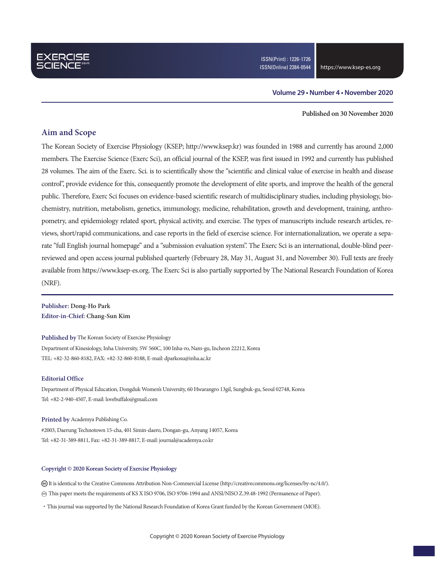### **Volume 29 • Number 4 • November 2020**

**Published on 30 November 2020**

### **Aim and Scope**

The Korean Society of Exercise Physiology (KSEP; http://www.ksep.kr) was founded in 1988 and currently has around 2,000 members. The Exercise Science (Exerc Sci), an official journal of the KSEP, was first issued in 1992 and currently has published 28 volumes. The aim of the Exerc. Sci. is to scientifically show the "scientific and clinical value of exercise in health and disease control", provide evidence for this, consequently promote the development of elite sports, and improve the health of the general public. Therefore, Exerc Sci focuses on evidence-based scientific research of multidisciplinary studies, including physiology, biochemistry, nutrition, metabolism, genetics, immunology, medicine, rehabilitation, growth and development, training, anthropometry, and epidemiology related sport, physical activity, and exercise. The types of manuscripts include research articles, reviews, short/rapid communications, and case reports in the field of exercise science. For internationalization, we operate a separate "full English journal homepage" and a "submission evaluation system". The Exerc Sci is an international, double-blind peerreviewed and open access journal published quarterly (February 28, May 31, August 31, and November 30). Full texts are freely available from https://www.ksep-es.org. The Exerc Sci is also partially supported by The National Research Foundation of Korea (NRF).

**Publisher: Dong-Ho Park Editor-in-Chief: Chang-Sun Kim**

**Published by** The Korean Society of Exercise Physiology

Department of Kinesiology, Inha University, 5W 560C, 100 Inha-ro, Nam-gu, Incheon 22212, Korea TEL: +82-32-860-8182, FAX: +82-32-860-8188, E-mail: dparkosu@inha.ac.kr

#### **Editorial Office**

Department of Physical Education, Dongduk Women's University, 60 Hwarangro 13gil, Sungbuk-gu, Seoul 02748, Korea Tel: +82-2-940-4507, E-mail: lovebuffalo@gmail.com

#### **Printed by** Academya Publishing Co.

#2003, Daerung Technotown 15-cha, 401 Simin-daero, Dongan-gu, Anyang 14057, Korea Tel: +82-31-389-8811, Fax: +82-31-389-8817, E-mail: journal@academya.co.kr

#### **Copyright © 2020 Korean Society of Exercise Physiology**

 It is identical to the Creative Commons Attribution Non-Commercial License (http://creativecommons.org/licenses/by-nc/4.0/). ∞ This paper meets the requirements of KS X ISO 9706, ISO 9706-1994 and ANSI/NISO Z.39.48-1992 (Permanence of Paper).

·This journal was supported by the National Research Foundation of Korea Grant funded by the Korean Government (MOE).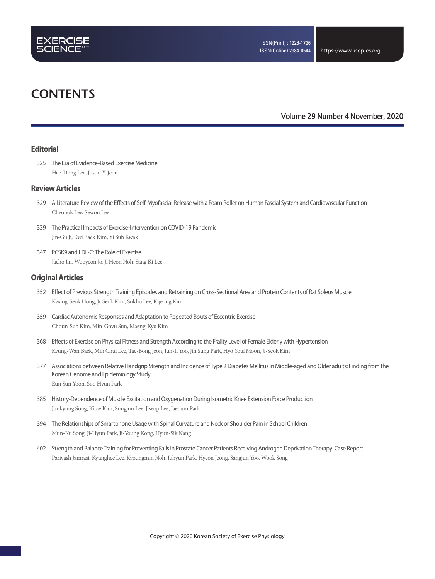

# **CONTENTS**

**Volume 29 Number 4 November, 2020**

### **Editorial**

325 The Era of Evidence-Based Exercise Medicine Hae-Dong Lee, Justin Y. Jeon

### **Review Articles**

- 329 A Literature Review of the Effects of Self-Myofascial Release with a Foam Roller on Human Fascial System and Cardiovascular Function Cheonok Lee, Sewon Lee
- 339 The Practical Impacts of Exercise-Intervention on COVID-19 Pandemic Jin-Gu Ji, Kwi Baek Kim, Yi Sub Kwak
- 347 PCSK9 and LDL-C: The Role of Exercise Jaeho Jin, Wooyeon Jo, Ji Heon Noh, Sang Ki Lee

### **Original Articles**

- 352 Effect of Previous Strength Training Episodes and Retraining on Cross-Sectional Area and Protein Contents of Rat Soleus Muscle Kwang-Seok Hong, Ji-Seok Kim, Sukho Lee, Kijeong Kim
- 359 Cardiac Autonomic Responses and Adaptation to Repeated Bouts of Eccentric Exercise Choun-Sub Kim, Min-Ghyu Sun, Maeng-Kyu Kim
- 368 Effects of Exercise on Physical Fitness and Strength According to the Frailty Level of Female Elderly with Hypertension Kyung-Wan Baek, Min Chul Lee, Tae-Bong Jeon, Jun-Il Yoo, Jin Sung Park, Hyo Youl Moon, Ji-Seok Kim
- 377 Associations between Relative Handgrip Strength and Incidence of Type 2 Diabetes Mellitus in Middle-aged and Older adults: Finding from the Korean Genome and Epidemiology Study Eun Sun Yoon, Soo Hyun Park
- 385 History-Dependence of Muscle Excitation and Oxygenation During Isometric Knee Extension Force Production Junkyung Song, Kitae Kim, Sungjun Lee, Jiseop Lee, Jaebum Park
- 394 The Relationships of Smartphone Usage with Spinal Curvature and Neck or Shoulder Pain in School Children Mun-Ku Song, Ji-Hyun Park, Ji-Young Kong, Hyun-Sik Kang
- 402 Strength and Balance Training for Preventing Falls in Prostate Cancer Patients Receiving Androgen Deprivation Therapy: Case Report Parivash Jamrasi, Kyunghee Lee, Kyoungmin Noh, Juhyun Park, Hyeon Jeong, Sangjun Yoo, Wook Song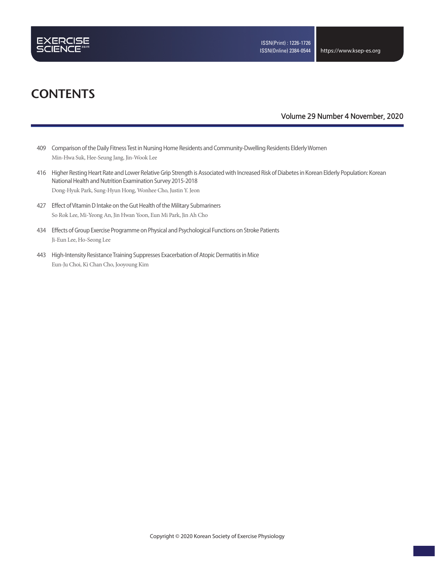

# **CONTENTS**

### **Volume 29 Number 4 November, 2020**

- 409 Comparison of the Daily Fitness Test in Nursing Home Residents and Community-Dwelling Residents Elderly Women Min-Hwa Suk, Hee-Seung Jang, Jin-Wook Lee
- 416 Higher Resting Heart Rate and Lower Relative Grip Strength is Associated with Increased Risk of Diabetes in Korean Elderly Population: Korean National Health and Nutrition Examination Survey 2015-2018 Dong-Hyuk Park, Sung-Hyun Hong, Wonhee Cho, Justin Y. Jeon
- 427 Effect of Vitamin D Intake on the Gut Health of the Military Submariners So Rok Lee, Mi-Yeong An, Jin Hwan Yoon, Eun Mi Park, Jin Ah Cho
- 434 Effects of Group Exercise Programme on Physical and Psychological Functions on Stroke Patients Ji-Eun Lee, Ho-Seong Lee
- 443 High-Intensity Resistance Training Suppresses Exacerbation of Atopic Dermatitis in Mice Eun-Ju Choi, Ki Chan Cho, Jooyoung Kim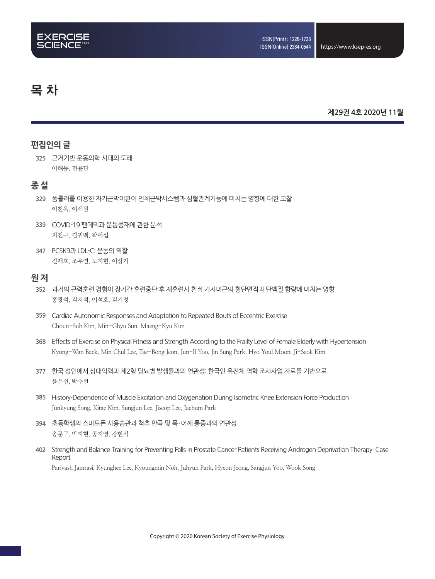# 목 차

### **제29권 4호 2020년 11월**

## **편집인의 글**

**325** 근거기반 운동의학 시대의 도래 이해동, 전용관

### **종 설**

- **329** 폼롤러를 이용한 자가근막이완이 인체근막시스템과 심혈관계기능에 미치는 영향에 대한 고찰 이천옥, 이세원
- **339** COVID-19 팬데믹과 운동중재에 관한 분석 지진구, 김귀백, 곽이섭
- **347** PCSK9과 LDL-C: 운동의 역할 진재호, 조우연, 노지헌, 이상기

### **원 저**

- **352** 과거의 근력훈련 경험이 장기간 훈련중단 후 재훈련시 흰쥐 가자미근의 횡단면적과 단백질 함량에 미치는 영향 홍광석, 김지석, 이석호, 김기정
- **359** Cardiac Autonomic Responses and Adaptation to Repeated Bouts of Eccentric Exercise Choun-Sub Kim, Min-Ghyu Sun, Maeng-Kyu Kim
- **368** Effects of Exercise on Physical Fitness and Strength According to the Frailty Level of Female Elderly with Hypertension Kyung-Wan Baek, Min Chul Lee, Tae-Bong Jeon, Jun-Il Yoo, Jin Sung Park, Hyo Youl Moon, Ji-Seok Kim
- **377** 한국 성인에서 상대악력과 제2형 당뇨병 발생률과의 연관성: 한국인 유전체 역학 조사사업 자료를 기반으로 윤은선, 박수현
- **385** History-Dependence of Muscle Excitation and Oxygenation During Isometric Knee Extension Force Production Junkyung Song, Kitae Kim, Sungjun Lee, Jiseop Lee, Jaebum Park
- **394** 초등학생의 스마트폰 사용습관과 척추 만곡 및 목·어깨 통증과의 연관성 송문구, 박지현, 공지영, 강현식
- **402** Strength and Balance Training for Preventing Falls in Prostate Cancer Patients Receiving Androgen Deprivation Therapy: Case Report Parivash Jamrasi, Kyunghee Lee, Kyoungmin Noh, Juhyun Park, Hyeon Jeong, Sangjun Yoo, Wook Song